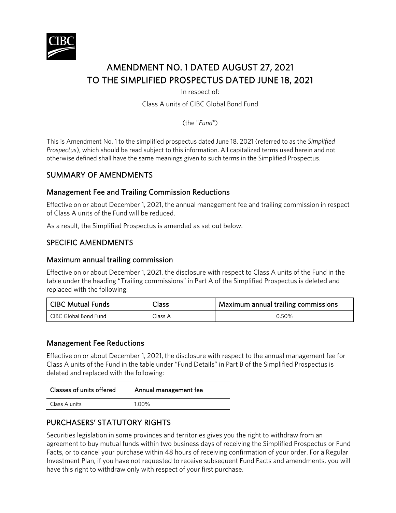

# AMENDMENT NO. 1 DATED AUGUST 27, 2021 TO THE SIMPLIFIED PROSPECTUS DATED JUNE 18, 2021

In respect of:

Class A units of CIBC Global Bond Fund

(the "*Fund"*)

This is Amendment No. 1 to the simplified prospectus dated June 18, 2021 (referred to as the *Simplified Prospectus*), which should be read subject to this information. All capitalized terms used herein and not otherwise defined shall have the same meanings given to such terms in the Simplified Prospectus.

# SUMMARY OF AMENDMENTS

## Management Fee and Trailing Commission Reductions

Effective on or about December 1, 2021, the annual management fee and trailing commission in respect of Class A units of the Fund will be reduced.

As a result, the Simplified Prospectus is amended as set out below.

## SPECIFIC AMENDMENTS

#### Maximum annual trailing commission

Effective on or about December 1, 2021, the disclosure with respect to Class A units of the Fund in the table under the heading "Trailing commissions" in Part A of the Simplified Prospectus is deleted and replaced with the following:

| CIBC Mutual Funds     | Class   | Maximum annual trailing commissions |
|-----------------------|---------|-------------------------------------|
| CIBC Global Bond Fund | Class A | 0.50%                               |

#### Management Fee Reductions

Effective on or about December 1, 2021, the disclosure with respect to the annual management fee for Class A units of the Fund in the table under "Fund Details" in Part B of the Simplified Prospectus is deleted and replaced with the following:

| Classes of units offered | Annual management fee |
|--------------------------|-----------------------|
| Class A units            | 1.00%                 |
|                          |                       |

# PURCHASERS' STATUTORY RIGHTS

Securities legislation in some provinces and territories gives you the right to withdraw from an agreement to buy mutual funds within two business days of receiving the Simplified Prospectus or Fund Facts, or to cancel your purchase within 48 hours of receiving confirmation of your order. For a Regular Investment Plan, if you have not requested to receive subsequent Fund Facts and amendments, you will have this right to withdraw only with respect of your first purchase.